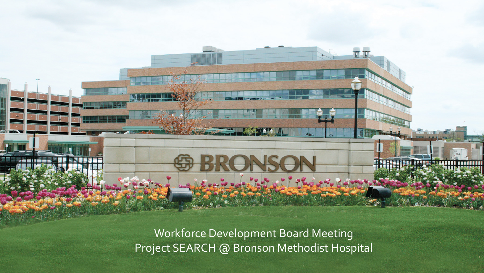Workforce Development Board Meeting Project SEARCH @ Bronson Methodist Hospital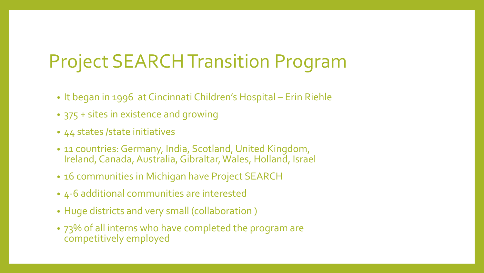### Project SEARCH Transition Program

- It began in 1996 at Cincinnati Children's Hospital Erin Riehle
- 375 + sites in existence and growing
- 44 states / state initiatives
- 11 countries: Germany, India, Scotland, United Kingdom, Ireland, Canada, Australia, Gibraltar, Wales, Holland, Israel
- 16 communities in Michigan have Project SEARCH
- 4-6 additional communities are interested
- Huge districts and very small (collaboration )
- 73% of all interns who have completed the program are competitively employed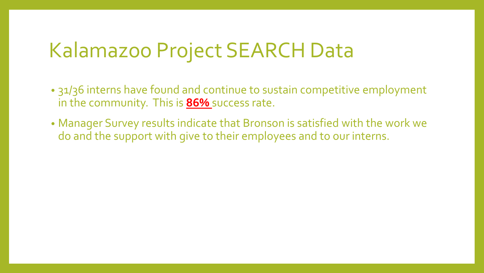## Kalamazoo Project SEARCH Data

- 31/36 interns have found and continue to sustain competitive employment in the community. This is **86%** success rate.
- Manager Survey results indicate that Bronson is satisfied with the work we do and the support with give to their employees and to our interns.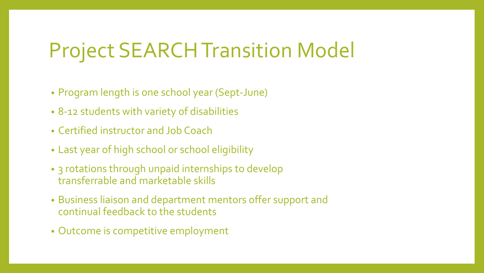## Project SEARCHTransition Model

- Program length is one school year (Sept-June)
- 8-12 students with variety of disabilities
- Certified instructor and Job Coach
- Last year of high school or school eligibility
- 3 rotations through unpaid internships to develop transferrable and marketable skills
- Business liaison and department mentors offer support and continual feedback to the students
- Outcome is competitive employment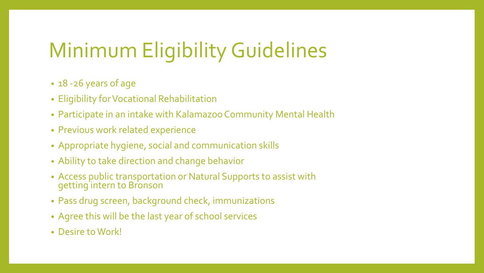# Minimum Eligibility Guidelines

- 18 -26 years of age
- Eligibility for Vocational Rehabilitation
- Participate in an intake with Kalamazoo Community Mental Health
- Previous work related experience
- Appropriate hygiene, social and communication skills
- Ability to take direction and change behavior
- Access public transportation or Natural Supports to assist with getting intern to Bronson
- Pass drug screen, background check, immunizations
- Agree this will be the last year of school services
- Desire to Work!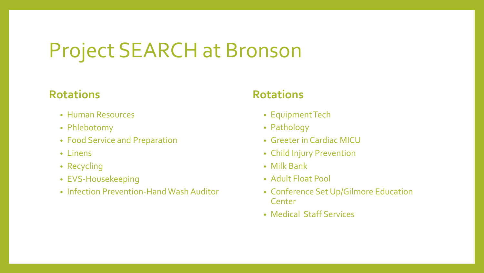## Project SEARCH at Bronson

#### **Rotations**

- Human Resources
- Phlebotomy
- Food Service and Preparation
- Linens
- Recycling
- EVS-Housekeeping
- Infection Prevention-Hand Wash Auditor

#### **Rotations**

- Equipment Tech
- Pathology
- Greeter in Cardiac MICU
- Child Injury Prevention
- Milk Bank
- Adult Float Pool
- Conference Set Up/Gilmore Education Center
- Medical Staff Services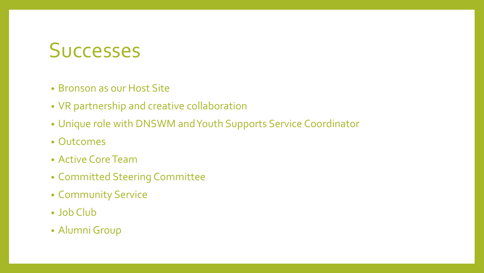#### **Successes**

- Bronson as our Host Site
- VR partnership and creative collaboration
- Unique role with DNSWM and Youth Supports Service Coordinator
- Outcomes
- Active Core Team
- Committed Steering Committee
- Community Service
- Job Club
- Alumni Group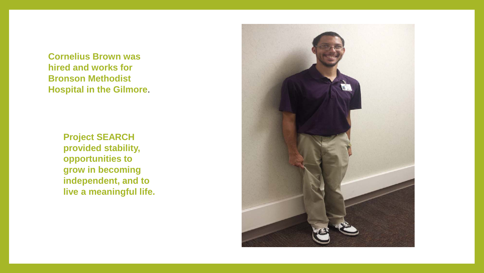**Cornelius Brown was hired and works for Bronson Methodist Hospital in the Gilmore**.

> **Project SEARCH provided stability, opportunities to grow in becoming independent, and to live a meaningful life.**

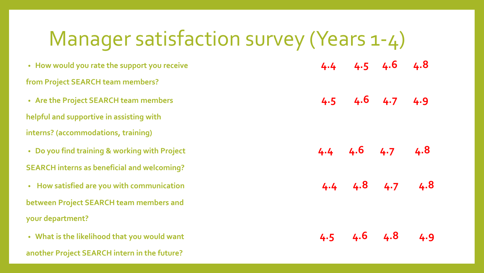| Manager satisfaction survey (Years 1-4)            |     |     |                         |     |
|----------------------------------------------------|-----|-----|-------------------------|-----|
| • How would you rate the support you receive       |     |     | $4.4$ $4.5$ $4.6$ $4.8$ |     |
| from Project SEARCH team members?                  |     |     |                         |     |
| • Are the Project SEARCH team members              |     |     | $4.5$ $4.6$ $4.7$ $4.9$ |     |
| helpful and supportive in assisting with           |     |     |                         |     |
| interns? (accommodations, training)                |     |     |                         |     |
| • Do you find training & working with Project      |     |     | $4.4$ $4.6$ $4.7$ $4.8$ |     |
| <b>SEARCH</b> interns as beneficial and welcoming? |     |     |                         |     |
| • How satisfied are you with communication         |     |     | $4.4$ $4.8$ $4.7$ $4.8$ |     |
| between Project SEARCH team members and            |     |     |                         |     |
| your department?                                   |     |     |                         |     |
| • What is the likelihood that you would want       | 4.5 | 4.6 | 4.8                     | 4.9 |

**another Project SEARCH intern in the future?**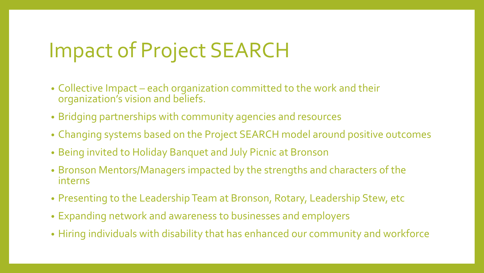## Impact of Project SEARCH

- Collective Impact each organization committed to the work and their organization's vision and beliefs.
- Bridging partnerships with community agencies and resources
- Changing systems based on the Project SEARCH model around positive outcomes
- Being invited to Holiday Banquet and July Picnic at Bronson
- Bronson Mentors/Managers impacted by the strengths and characters of the interns
- Presenting to the Leadership Team at Bronson, Rotary, Leadership Stew, etc
- Expanding network and awareness to businesses and employers
- Hiring individuals with disability that has enhanced our community and workforce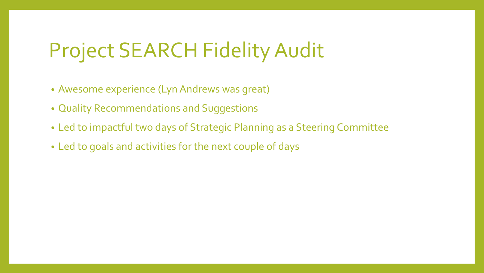## Project SEARCH Fidelity Audit

- Awesome experience (Lyn Andrews was great)
- Quality Recommendations and Suggestions
- Led to impactful two days of Strategic Planning as a Steering Committee
- Led to goals and activities for the next couple of days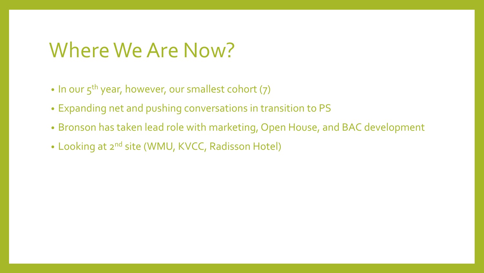### Where We Are Now?

- In our  $5^{th}$  year, however, our smallest cohort  $(7)$
- Expanding net and pushing conversations in transition to PS
- Bronson has taken lead role with marketing, Open House, and BAC development
- Looking at 2<sup>nd</sup> site (WMU, KVCC, Radisson Hotel)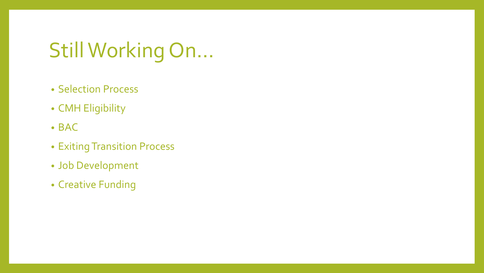## Still Working On…

- Selection Process
- CMH Eligibility
- BAC
- Exiting Transition Process
- Job Development
- Creative Funding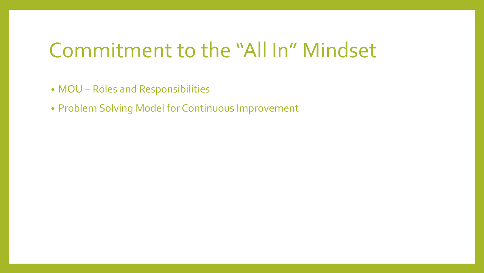### Commitment to the "All In" Mindset

- MOU Roles and Responsibilities
- Problem Solving Model for Continuous Improvement